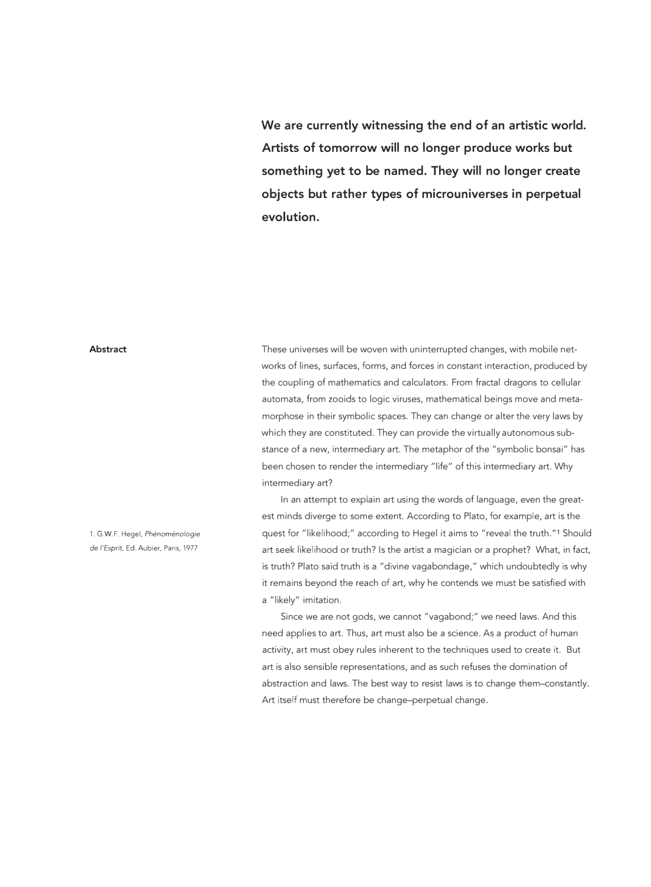**We are currently witnessing the end of an artistic world. Artists of tomorrow will no longer produce works but something yet to be named. They will no longer create objects but rather types of microuniverses in perpetual evolution.** 

#### **Abstract**

These universes will be woven with uninterrupted changes, with mobile networks of lines, surfaces, forms, and forces in constant interaction, produced by the coupling of mathematics and calculators. From fractal dragons to cellular automata, from zooids to logic viruses, mathematical beings move and metamorphose in their symbolic spaces. They can change or alter the very laws by which they are constituted. They can provide the virtually autonomous substance of a new, intermediary art. The metaphor of the "symbolic bonsai" has been chosen to render the intermediary "life" of this intermediary art. Why intermediary art?

In an attempt to explain art using the words of language, even the greatest minds diverge to some extent. According to Plato, for example, art is the quest for "likelihood;" according to Hegel it aims to "reveal the truth."1 Should art seek likelihood or truth? Is the artist a magician or a prophet? What, in fact, is truth? Plato said truth is a "divine vagabondage," which undoubtedly is why it remains beyond the reach of art, why he contends we must be satisfied with a "likely" imitation.

Since we are not gods, we cannot "vagabond;" we need laws. And this need applies to art. Thus, art must also be a science. As a product of human activity, art must obey rules inherent to the techniques used to create it. But art is also sensible representations, and as such refuses the domination of abstraction and laws. The best way to resist laws is to change them-constantly. Art itself must therefore be change-perpetual change.

1. G.W.F. Hegel, *Phenomenologie de /'Esprit,* Ed. Aubier, Paris, 1977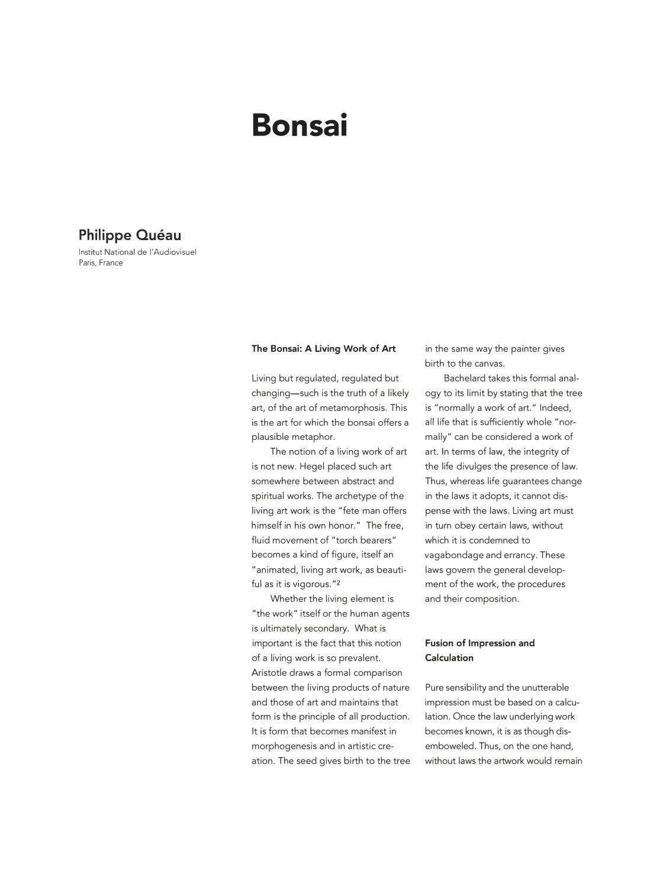# **Bonsai**

## **Philippe Quéau**

lnstitut National de l'Audiovisuel Paris, France

#### **The Bonsai: A Living Work of Art**

Living but regulated, regulated but changing-such is the truth of a likely art, of the art of metamorphosis. This is the art for which the bonsai offers a plausible metaphor.

The notion of a living work of art is not new. Hegel placed such art somewhere between abstract and spiritual works. The archetype of the living art work is the "fete man offers himself in his own honor." The free, fluid movement of "torch bearers" becomes a kind of figure, itself an "animated, living art work, as beautiful as it is vigorous. "2

Whether the living element is "the work" itself or the human agents is ultimately secondary. What is important is the fact that this notion of a living work is so prevalent. Aristotle draws a formal comparison between the living products of nature and those of art and maintains that form is the principle of all production. It is form that becomes manifest in morphogenesis and in artistic ereation. The seed gives birth to the tree in the same way the painter gives birth to the canvas.

Bachelard takes this formal analogy to its limit by stating that the tree is "normally a work of art." Indeed, all life that is sufficiently whole "normally" can be considered a work of art. In terms of law, the integrity of the life divulges the presence of law. Thus, whereas life guarantees change in the laws it adopts, it cannot dispense with the laws. Living art must in turn obey certain laws, without which it is condemned to vagabondage and errancy. These laws govern the general development of the work, the procedures and their composition.

### **Fusion of Impression and Calculation**

Pure sensibility and the unutterable impression must be based on a calculation. Once the law underlying work becomes known, it is as though disemboweled. Thus, on the one hand, without laws the artwork would remain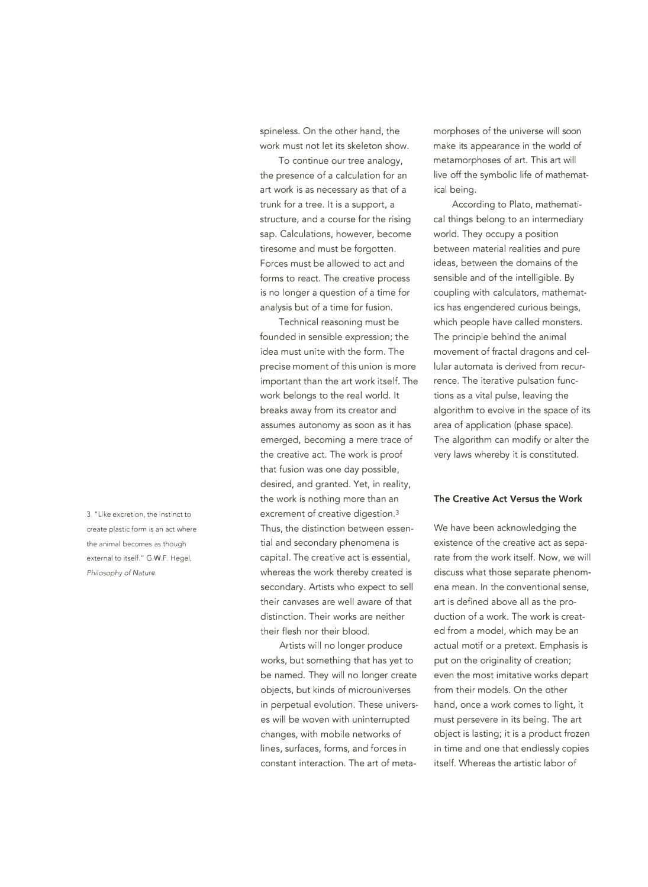spineless. On the other hand, the work must not let its skeleton show.

To continue our tree analogy, the presence of a calculation for an art work is as necessary as that of a trunk for a tree. It is a support, a structure, and a course for the rising sap. Calculations, however, become tiresome and must be forgotten. Forces must be allowed to act and forms to react. The creative process is no longer a question of a time for analysis but of a time for fusion.

Technical reasoning must be founded in sensible expression; the idea must unite with the form. The precise moment of this union is more important than the art work itself. The work belongs to the real world. It breaks away from its creator and assumes autonomy as soon as it has emerged, becoming a mere trace of the creative act. The work is proof that fusion was one day possible, desired, and granted. Yet, in reality, the work is nothing more than an excrement of creative digestion.3 Thus, the distinction between essential and secondary phenomena is capital. The creative act is essential, whereas the work thereby created is secondary. Artists who expect to sell their canvases are well aware of that distinction. Their works are neither their flesh nor their blood.

Artists will no longer produce works, but something that has yet to be named. They will no longer create objects, but kinds of microuniverses in perpetual evolution. These universes will be woven with uninterrupted changes, with mobile networks of lines, surfaces, forms, and forces in constant interaction. The art of metamorphoses of the universe will soon make its appearance in the world of metamorphoses of art. This art will live off the symbolic life of mathematical being.

According to Plato, mathematical things belong to an intermediary world. They occupy a position between material realities and pure ideas, between the domains of the sensible and of the intelligible. By coupling with calculators, mathematics has engendered curious beings, which people have called monsters. The principle behind the animal movement of fractal dragons and cellular automata is derived from recurrence. The iterative pulsation functions as a vital pulse, leaving the algorithm to evolve in the space of its area of application (phase space). The algorithm can modify or alter the very laws whereby it is constituted.

#### **The Creative Act Versus the Work**

We have been acknowledging the existence of the creative act as separate from the work itself. Now, we will discuss what those separate phenomena mean. In the conventional sense, art is defined above all as the production of a work. The work is created from a model, which may be an actual motif or a pretext. Emphasis is put on the originality of creation; even the most imitative works depart from their models. On the other hand, once a work comes to light, it must persevere in its being. The art object is lasting; it is a product frozen in time and one that endlessly copies itself. Whereas the artistic labor of

3. "Like excretion, the instinct to create plastic form is an act where the animal becomes as though external to itself." G.W.F. Hegel, *Philosophy of* Nature.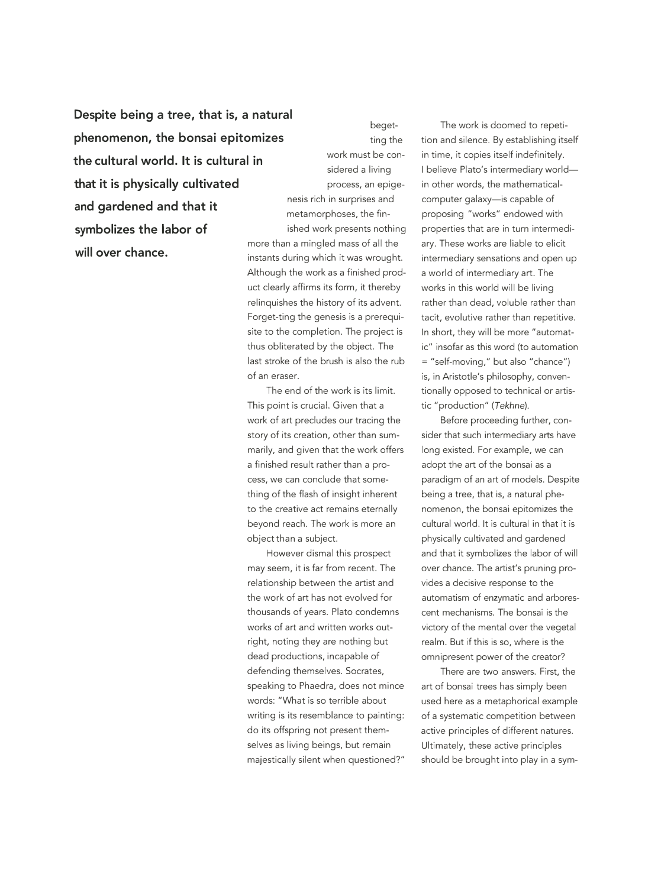**Despite being a tree, that is, a natural phenomenon, the bonsai epitomizes the cultural world. It is cultural in that it is physically cultivated** process, an epige**and gardened and that it symbolizes the labor of will over chance.** 

begetting the work must be considered a living nesis rich in surprises and metamorphoses, the finished work presents nothing more than a mingled mass of all the instants during which it was wrought. Although the work as a finished product clearly affirms its form, it thereby relinquishes the history of its advent. Forget-ting the genesis is a prerequi-

site to the completion. The project is thus obliterated by the object. The last stroke of the brush is also the rub of an eraser.

The end of the work is its limit. This point is crucial. Given that a work of art precludes our tracing the story of its creation, other than summarily, and given that the work offers a finished result rather than a process, we can conclude that something of the flash of insight inherent to the creative act remains eternally beyond reach. The work is more an object than a subject.

However dismal this prospect may seem, it is far from recent. The relationship between the artist and the work of art has not evolved for thousands of years. Plato condemns works of art and written works outright, noting they are nothing but dead productions, incapable of defending themselves. Socrates, speaking to Phaedra, does not mince words: "What is so terrible about writing is its resemblance to painting: do its offspring not present themselves as living beings, but remain majestically silent when questioned?"

The work is doomed to repetition and silence. By establishing itself in time, it copies itself indefinitely. I believe Plato's intermediary worldin other words, the mathematicalcomputer galaxy-is capable of proposing "works" endowed with properties that are in turn intermediary. These works are liable to elicit intermediary sensations and open up a world of intermediary art. The works in this world will be living rather than dead, voluble rather than tacit, evolutive rather than repetitive. In short, they will be more "automatic" insofar as this word (to automation = "self-moving," but also "chance") is, in Aristotle's philosophy, conventionally opposed to technical or artistic "production" *(Tekhne).* 

Before proceeding further, consider that such intermediary arts have long existed. For example, we can adopt the art of the bonsai as a paradigm of an art of models. Despite being a tree, that is, a natural phenomenon, the bonsai epitomizes the cultural world. It is cultural in that it is physically cultivated and gardened and that it symbolizes the labor of will over chance. The artist's pruning provides a decisive response to the automatism of enzymatic and arborescent mechanisms. The bonsai is the victory of the mental over the vegetal realm. But if this is so, where is the omnipresent power of the creator?

There are two answers. First, the art of bonsai trees has simply been used here as a metaphorical example of a systematic competition between active principles of different natures. Ultimately, these active principles should be brought into play in a sym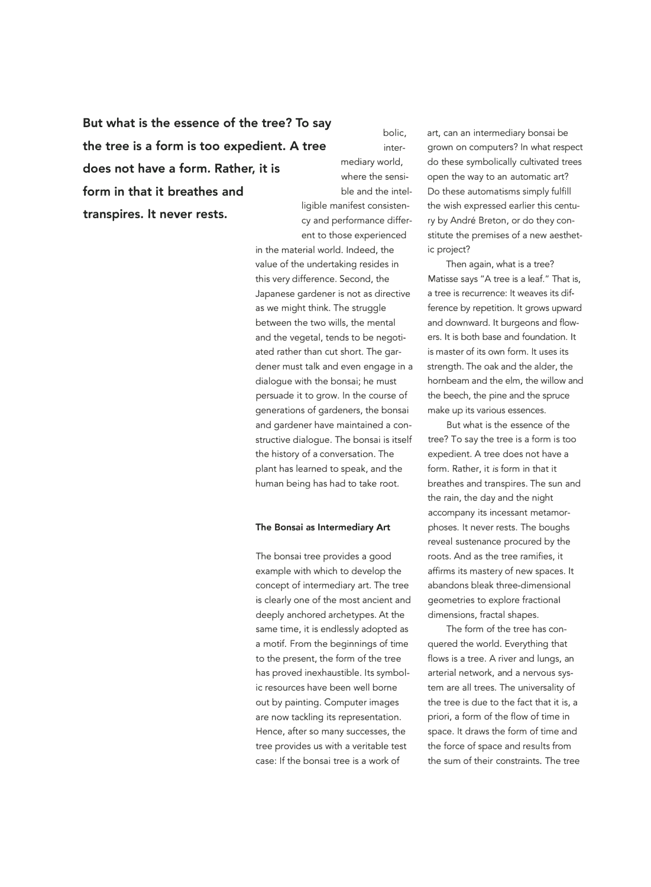But what is the essence of the tree? To say **the tree is a form is too expedient. A tree does not have a form. Rather, it is form in that it breathes and transpires. It never rests.** 

bolic, intermediary world, where the sensible and the intelent to those experienced

in the material world. Indeed, the value of the undertaking resides in this very difference. Second, the Japanese gardener is not as directive as we might think. The struggle between the two wills, the mental and the vegetal, tends to be negotiated rather than cut short. The gardener must talk and even engage in a dialogue with the bonsai; he must persuade it to grow. In the course of generations of gardeners, the bonsai and gardener have maintained a constructive dialogue. The bonsai is itself the history of a conversation. The plant has learned to speak, and the human being has had to take root.

#### **The Bonsai as Intermediary Art**

The bonsai tree provides a good example with which to develop the concept of intermediary art. The tree is clearly one of the most ancient and deeply anchored archetypes. At the same time, it is endlessly adopted as a motif. From the beginnings of time to the present, the form of the tree has proved inexhaustible. Its symbolic resources have been well borne out by painting. Computer images are now tackling its representation. Hence, after so many successes, the tree provides us with a veritable test case: If the bonsai tree is a work of

art, can an intermediary bonsai be grown on computers? In what respect do these symbolically cultivated trees open the way to an automatic art? Do these automatisms simply fulfill ligible manifest consisten- the wish expressed earlier this centucy and performance differ- ry by André Breton, or do they constitute the premises of a new aesthetic project?

> Then again, what is a tree? Matisse says "A tree is a leaf." That is, a tree is recurrence: It weaves its difference by repetition. It grows upward and downward. It burgeons and flowers. It is both base and foundation. It is master of its own form. It uses its strength. The oak and the alder, the hornbeam and the elm, the willow and the beech, the pine and the spruce make up its various essences.

But what is the essence of the tree? To say the tree is a form is too expedient. A tree does not have a form. Rather, it *is* form in that it breathes and transpires. The sun and the rain, the day and the night accompany its incessant metamorphoses. It never rests. The boughs reveal sustenance procured by the roots. And as the tree ramifies, it affirms its mastery of new spaces. It abandons bleak three-dimensional geometries to explore fractional dimensions, fractal shapes.

The form of the tree has conquered the world. Everything that flows is a tree. A river and lungs, an arterial network, and a nervous system are all trees. The universality of the tree is due to the fact that it is, a priori, a form of the flow of time in space. It draws the form of time and the force of space and results from the sum of their constraints. The tree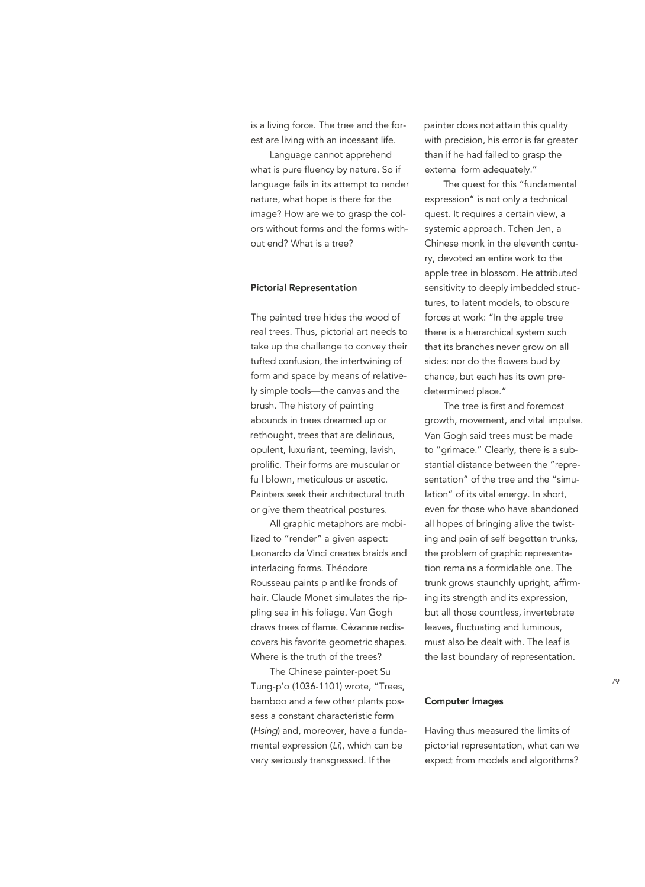is a living force. The tree and the forest are living with an incessant life.

Language cannot apprehend what is pure fluency by nature. So if language fails in its attempt to render nature, what hope is there for the image? How are we to grasp the colors without forms and the forms without end? What is a tree?

#### **Pictorial Representation**

The painted tree hides the wood of real trees. Thus, pictorial art needs to take up the challenge to convey their tufted confusion, the intertwining of form and space by means of relatively simple tools-the canvas and the brush. The history of painting abounds in trees dreamed up or rethought, trees that are delirious, opulent, luxuriant, teeming, lavish, prolific. Their forms are muscular or full blown, meticulous or ascetic. Painters seek their architectural truth or give them theatrical postures.

All graphic metaphors are mobilized to "render" a given aspect: Leonardo da Vinci creates braids and interlacing forms. Théodore Rousseau paints plantlike fronds of hair. Claude Monet simulates the rippling sea in his foliage. Van Gogh draws trees of flame. Cézanne rediscovers his favorite geometric shapes. Where is the truth of the trees?

The Chinese painter-poet Su Tung-p'o (1036-1101) wrote, "Trees, bamboo and a few other plants possess a constant characteristic form *(Hsing)* and, moreover, have a fundamental expression (Li), which can be very seriously transgressed. If the

painter does not attain this quality with precision, his error is far greater than if he had failed to grasp the external form adequately."

The quest for this "fundamental expression" is not only a technical quest. It requires a certain view, a systemic approach. Tchen Jen, a Chinese monk in the eleventh century, devoted an entire work to the apple tree in blossom. He attributed sensitivity to deeply imbedded structures, to latent models, to obscure forces at work: "In the apple tree there is a hierarchical system such that its branches never grow on all sides: nor do the flowers bud by chance, but each has its own predetermined place."

The tree is first and foremost growth, movement, and vital impulse. Van Gogh said trees must be made to "grimace." Clearly, there is a substantial distance between the "representation" of the tree and the "simulation" of its vital energy. In short, even for those who have abandoned all hopes of bringing alive the twisting and pain of self begotten trunks, the problem of graphic representation remains a formidable one. The trunk grows staunchly upright, affirming its strength and its expression, but all those countless, invertebrate leaves, fluctuating and luminous, must also be dealt with. The leaf is the last boundary of representation.

#### **Computer Images**

Having thus measured the limits of pictorial representation, what can we expect from models and algorithms?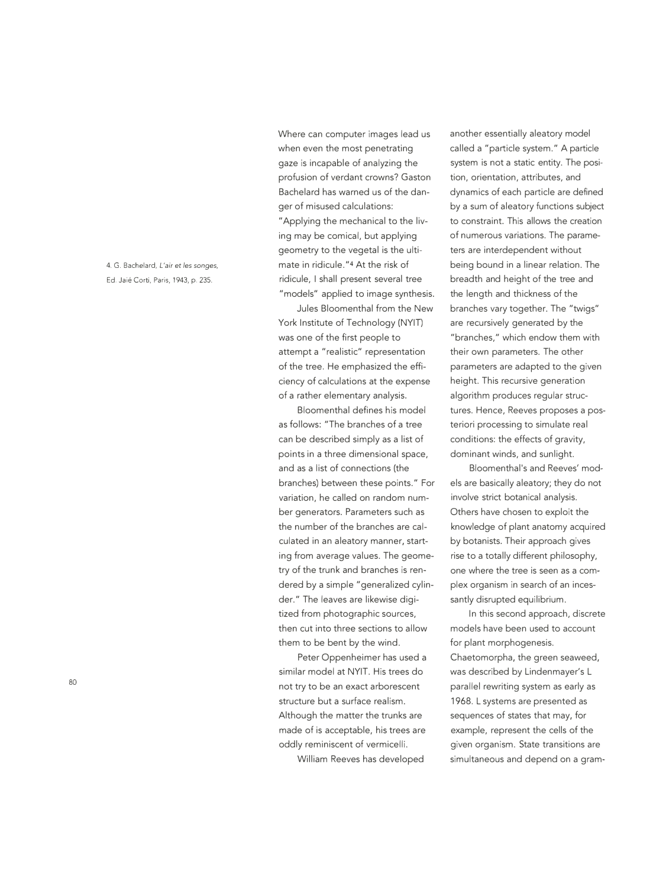4. G. Bachelard, *L'air* et /es songes, Ed. Jaie Corti, Paris, 1943, p. 235.

Where can computer images lead us when even the most penetrating gaze is incapable of analyzing the profusion of verdant crowns? Gaston Bachelard has warned us of the danger of misused calculations: "Applying the mechanical to the living may be comical, but applying geometry to the vegetal is the ultimate in ridicule. "4 At the risk of ridicule, I shall present several tree "models" applied to image synthesis.

Jules Bloomenthal from the New York Institute of Technology (NYID was one of the first people to attempt a "realistic" representation of the tree. He emphasized the efficiency of calculations at the expense of a rather elementary analysis.

Bloomenthal defines his model as follows: "The branches of a tree can be described simply as a list of points in a three dimensional space, and as a list of connections (the branches) between these points." For variation, he called on random number generators. Parameters such as the number of the branches are calculated in an aleatory manner, starting from average values. The geometry of the trunk and branches is rendered by a simple "generalized cylinder." The leaves are likewise digitized from photographic sources, then cut into three sections to allow them to be bent by the wind.

Peter Oppenheimer has used a similar model at NYIT. His trees do not try to be an exact arborescent structure but a surface realism. Although the matter the trunks are made of is acceptable, his trees are oddly reminiscent of vermicelli.

William Reeves has developed

another essentially aleatory model called a "particle system." A particle system is not a static entity. The position, orientation, attributes, and dynamics of each particle are defined by a sum of aleatory functions subject to constraint. This allows the creation of numerous variations. The parameters are interdependent without being bound in a linear relation. The breadth and height of the tree and the length and thickness of the branches vary together. The "twigs" are recursively generated by the "branches," which endow them with their own parameters. The other parameters are adapted to the given height. This recursive generation algorithm produces regular structures. Hence, Reeves proposes a posteriori processing to simulate real conditions: the effects of gravity, dominant winds, and sunlight.

Bloomenthal's and Reeves' models are basically aleatory; they do not involve strict botanical analysis. Others have chosen to exploit the knowledge of plant anatomy acquired by botanists. Their approach gives rise to a totally different philosophy, one where the tree is seen as a complex organism in search of an incessantly disrupted equilibrium.

In this second approach, discrete models have been used to account for plant morphogenesis. Chaetomorpha, the green seaweed, was described by Lindenmayer's L parallel rewriting system as early as 1968. L systems are presented as sequences of states that may, for example, represent the cells of the given organism. State transitions are simultaneous and depend on a gram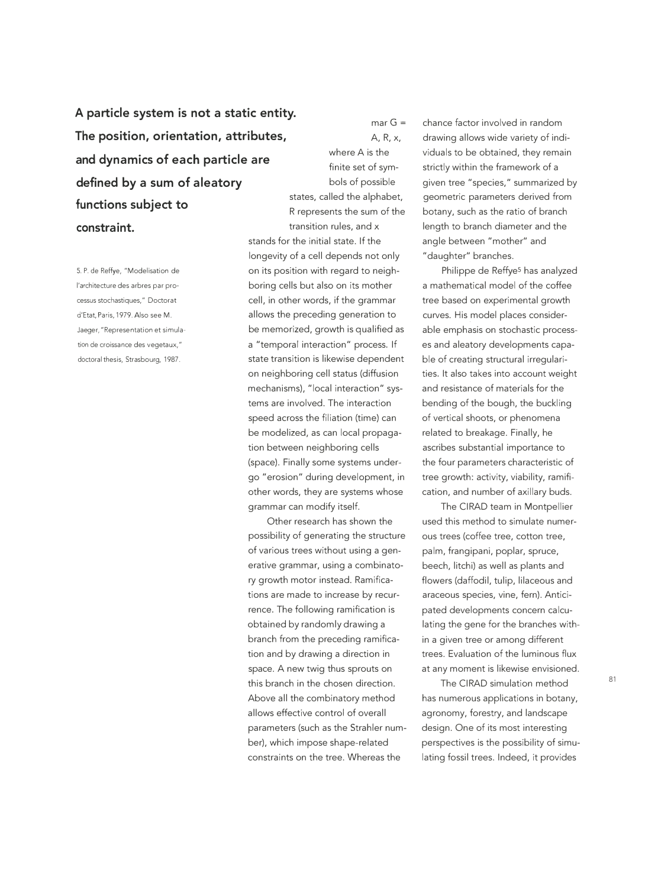**A particle system is not a static entity. The position, orientation, attributes, and dynamics of each particle are defined by a sum of aleatory functions subject to constraint.** 

5. P. de Reffye, "Modelisation de !'architecture des arbres par processus stochastiques," Doctoral d'Etat, Paris, 1979. Also see M. Jaeger, "Representation et simulation de croissance des vegetaux," doctoral thesis, Strasbourg, 1987.

A, R, x, where A is the finite set of symbols of possible states, called the alphabet, R represents the sum of the transition rules, and x stands for the initial state. If the longevity of a cell depends not only on its position with regard to neighboring cells but also on its mother cell, in other words, if the grammar allows the preceding generation to be memorized, growth is qualified as a "temporal interaction" process. If state transition is likewise dependent on neighboring cell status (diffusion mechanisms), "local interaction" systems are involved. The interaction speed across the filiation (time) can be modelized, as can local propagation between neighboring cells (space). Finally some systems undergo "erosion" during development, in other words, they are systems whose

mar  $G =$ 

Other research has shown the possibility of generating the structure of various trees without using a generative grammar, using a combinatory growth motor instead. Ramifications are made to increase by recurrence. The following ramification is obtained by randomly drawing a branch from the preceding ramification and by drawing a direction in space. A new twig thus sprouts on this branch in the chosen direction. Above all the combinatory method allows effective control of overall parameters (such as the Strahler number), which impose shape-related constraints on the tree. Whereas the

grammar can modify itself.

chance factor involved in random drawing allows wide variety of individuals to be obtained, they remain strictly within the framework of a given tree "species," summarized by geometric parameters derived from botany, such as the ratio of branch length to branch diameter and the angle between "mother" and "daughter" branches.

Philippe de Reffye<sup>5</sup> has analyzed a mathematical model of the coffee tree based on experimental growth curves. His model places considerable emphasis on stochastic processes and aleatory developments capable of creating structural irregularities. It also takes into account weight and resistance of materials for the bending of the bough, the buckling of vertical shoots, or phenomena related to breakage. Finally, he ascribes substantial importance to the four parameters characteristic of tree growth: activity, viability, ramification, and number of axillary buds.

The CIRAD team in Montpellier used this method to simulate numerous trees (coffee tree, cotton tree, palm, frangipani, poplar, spruce, beech, litchi) as well as plants and flowers (daffodil, tulip, lilaceous and araceous species, vine, fern). Anticipated developments concern calculating the gene for the branches within a given tree or among different trees. Evaluation of the luminous flux at any moment is likewise envisioned.

The CIRAD simulation method has numerous applications in botany, agronomy, forestry, and landscape design. One of its most interesting perspectives is the possibility of simulating fossil trees. Indeed, it provides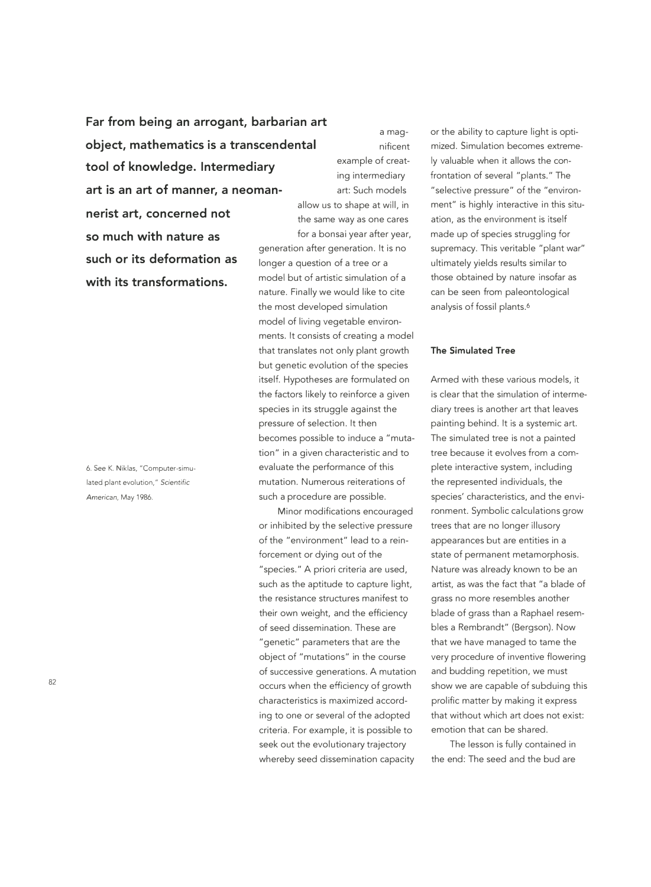**Far from being an arrogant, barbarian art object, mathematics is a transcendental tool of knowledge. Intermediary art is an art of manner, a neoman-** art: Such models **nerist art, concerned not so much with nature as such or its deformation as with its transformations.** 

6. See K. Niklas, "Computer-simulated plant evolution," Scientific American, May 1986.

82

a magnificent example of creating intermediary allow us to shape at will, in the same way as one cares for a bonsai year after year, generation after generation. It is no longer a question of a tree or a model but of artistic simulation of a nature. Finally we would like to cite the most developed simulation model of living vegetable environments. It consists of creating a model that translates not only plant growth but genetic evolution of the species itself. Hypotheses are formulated on the factors likely to reinforce a given species in its struggle against the pressure of selection. It then becomes possible to induce a "mutation" in a given characteristic and to evaluate the performance of this mutation. Numerous reiterations of such a procedure are possible.

Minor modifications encouraged or inhibited by the selective pressure of the "environment" lead to a reinforcement or dying out of the "species." A priori criteria are used, such as the aptitude to capture light, the resistance structures manifest to their own weight, and the efficiency of seed dissemination. These are "genetic" parameters that are the object of "mutations" in the course of successive generations. A mutation occurs when the efficiency of growth characteristics is maximized according to one or several of the adopted criteria. For example, it is possible to seek out the evolutionary trajectory whereby seed dissemination capacity

or the ability to capture light is optimized. Simulation becomes extremely valuable when it allows the confrontation of several "plants." The "selective pressure" of the "environment" is highly interactive in this situation, as the environment is itself made up of species struggling for supremacy. This veritable "plant war" ultimately yields results similar to those obtained by nature insofar as can be seen from paleontological analysis of fossil plants.6

#### **The Simulated Tree**

Armed with these various models, it is clear that the simulation of intermediary trees is another art that leaves painting behind. It is a systemic art. The simulated tree is not a painted tree because it evolves from a complete interactive system, including the represented individuals, the species' characteristics, and the environment. Symbolic calculations grow trees that are no longer illusory appearances but are entities in a state of permanent metamorphosis. Nature was already known to be an artist, as was the fact that "a blade of grass no more resembles another blade of grass than a Raphael resembles a Rembrandt" (Bergson). Now that we have managed to tame the very procedure of inventive flowering and budding repetition, we must show we are capable of subduing this prolific matter by making it express that without which art does not exist: emotion that can be shared.

The lesson is fully contained in the end: The seed and the bud are